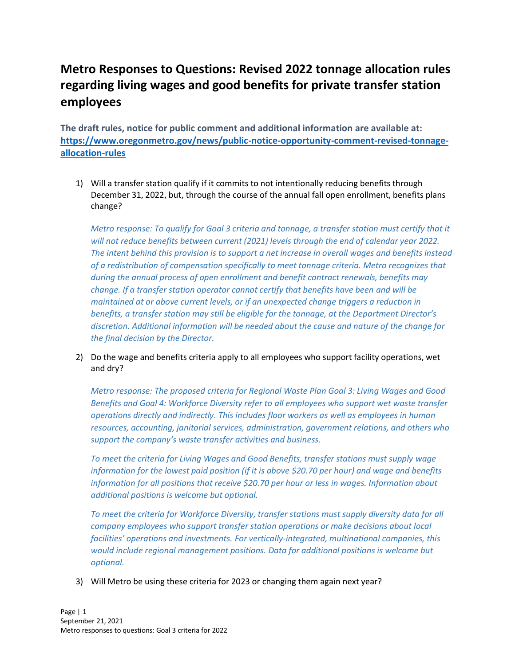## **Metro Responses to Questions: Revised 2022 tonnage allocation rules regarding living wages and good benefits for private transfer station employees**

**The draft rules, notice for public comment and additional information are available at: [https://www.oregonmetro.gov/news/public-notice-opportunity-comment-revised-tonnage](https://www.oregonmetro.gov/news/public-notice-opportunity-comment-revised-tonnage-allocation-rules)[allocation-rules](https://www.oregonmetro.gov/news/public-notice-opportunity-comment-revised-tonnage-allocation-rules)**

1) Will a transfer station qualify if it commits to not intentionally reducing benefits through December 31, 2022, but, through the course of the annual fall open enrollment, benefits plans change?

*Metro response: To qualify for Goal 3 criteria and tonnage, a transfer station must certify that it will not reduce benefits between current (2021) levels through the end of calendar year 2022. The intent behind this provision is to support a net increase in overall wages and benefits instead of a redistribution of compensation specifically to meet tonnage criteria. Metro recognizes that during the annual process of open enrollment and benefit contract renewals, benefits may change. If a transfer station operator cannot certify that benefits have been and will be maintained at or above current levels, or if an unexpected change triggers a reduction in benefits, a transfer station may still be eligible for the tonnage, at the Department Director's discretion. Additional information will be needed about the cause and nature of the change for the final decision by the Director.*

2) Do the wage and benefits criteria apply to all employees who support facility operations, wet and dry?

*Metro response: The proposed criteria for Regional Waste Plan Goal 3: Living Wages and Good Benefits and Goal 4: Workforce Diversity refer to all employees who support wet waste transfer operations directly and indirectly. This includes floor workers as well as employees in human resources, accounting, janitorial services, administration, government relations, and others who support the company's waste transfer activities and business.*

*To meet the criteria for Living Wages and Good Benefits, transfer stations must supply wage information for the lowest paid position (if it is above \$20.70 per hour) and wage and benefits information for all positions that receive \$20.70 per hour or less in wages. Information about additional positions is welcome but optional.*

*To meet the criteria for Workforce Diversity, transfer stations must supply diversity data for all company employees who support transfer station operations or make decisions about local facilities' operations and investments. For vertically-integrated, multinational companies, this would include regional management positions. Data for additional positions is welcome but optional.*

3) Will Metro be using these criteria for 2023 or changing them again next year?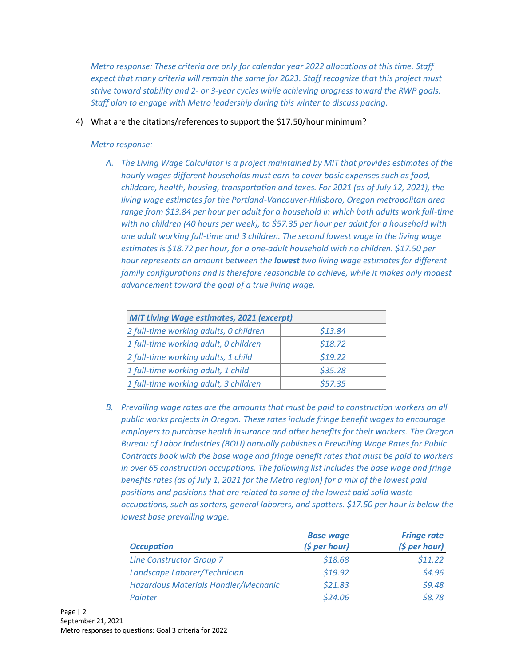*Metro response: These criteria are only for calendar year 2022 allocations at this time. Staff expect that many criteria will remain the same for 2023. Staff recognize that this project must strive toward stability and 2- or 3-year cycles while achieving progress toward the RWP goals. Staff plan to engage with Metro leadership during this winter to discuss pacing.*

4) What are the citations/references to support the \$17.50/hour minimum?

## *Metro response:*

*A. The Living Wage Calculator is a project maintained by MIT that provides estimates of the hourly wages different households must earn to cover basic expenses such as food, childcare, health, housing, transportation and taxes. For 2021 (as of July 12, 2021), the living wage estimates for the Portland-Vancouver-Hillsboro, Oregon metropolitan area range from \$13.84 per hour per adult for a household in which both adults work full-time with no children (40 hours per week), to \$57.35 per hour per adult for a household with one adult working full-time and 3 children. The second lowest wage in the living wage estimates is \$18.72 per hour, for a one-adult household with no children. \$17.50 per hour represents an amount between the lowest two living wage estimates for different family configurations and is therefore reasonable to achieve, while it makes only modest advancement toward the goal of a true living wage.*

| <b>MIT Living Wage estimates, 2021 (excerpt)</b> |         |  |
|--------------------------------------------------|---------|--|
| 2 full-time working adults, 0 children           | \$13.84 |  |
| 1 full-time working adult, 0 children            | \$18.72 |  |
| $2$ full-time working adults, 1 child            | \$19.22 |  |
| 1 full-time working adult, 1 child               | \$35.28 |  |
| 1 full-time working adult, 3 children            | \$57.35 |  |

*B. Prevailing wage rates are the amounts that must be paid to construction workers on all public works projects in Oregon. These rates include fringe benefit wages to encourage employers to purchase health insurance and other benefits for their workers. The Oregon Bureau of Labor Industries (BOLI) annually publishes a Prevailing Wage Rates for Public Contracts book with the base wage and fringe benefit rates that must be paid to workers in over 65 construction occupations. The following list includes the base wage and fringe benefits rates (as of July 1, 2021 for the Metro region) for a mix of the lowest paid positions and positions that are related to some of the lowest paid solid waste occupations, such as sorters, general laborers, and spotters. \$17.50 per hour is below the lowest base prevailing wage.*

| <b>Occupation</b>                    | <b>Base wage</b> | <b>Fringe rate</b> |
|--------------------------------------|------------------|--------------------|
|                                      | (5 per hour)     | (5 per hour)       |
| <b>Line Constructor Group 7</b>      | \$18.68          | \$11.22            |
| Landscape Laborer/Technician         | \$19.92          | \$4.96             |
| Hazardous Materials Handler/Mechanic | \$21.83          | \$9.48             |
| Painter                              | \$24.06          | \$8.78             |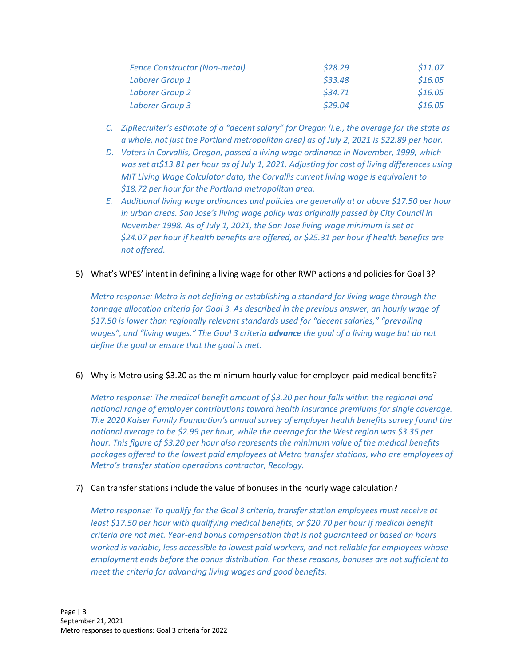| <b>Fence Constructor (Non-metal)</b> | \$28.29 | \$11.07 |
|--------------------------------------|---------|---------|
| <b>Laborer Group 1</b>               | \$33.48 | \$16.05 |
| Laborer Group 2                      | \$34.71 | \$16.05 |
| Laborer Group 3                      | \$29.04 | \$16.05 |

- *C. ZipRecruiter's estimate of a "decent salary" for Oregon (i.e., the average for the state as a whole, not just the Portland metropolitan area) as of July 2, 2021 is \$22.89 per hour.*
- *D. Voters in Corvallis, Oregon, passed a living wage ordinance in November, 1999, which was set at\$13.81 per hour as of July 1, 2021. Adjusting for cost of living differences using MIT Living Wage Calculator data, the Corvallis current living wage is equivalent to \$18.72 per hour for the Portland metropolitan area.*
- *E. Additional living wage ordinances and policies are generally at or above \$17.50 per hour in urban areas. San Jose's living wage policy was originally passed by City Council in November 1998. As of July 1, 2021, the San Jose living wage minimum is set at \$24.07 per hour if health benefits are offered, or \$25.31 per hour if health benefits are not offered.*
- 5) What's WPES' intent in defining a living wage for other RWP actions and policies for Goal 3?

*Metro response: Metro is not defining or establishing a standard for living wage through the tonnage allocation criteria for Goal 3. As described in the previous answer, an hourly wage of \$17.50 is lower than regionally relevant standards used for "decent salaries," "prevailing wages", and "living wages." The Goal 3 criteria advance the goal of a living wage but do not define the goal or ensure that the goal is met.*

6) Why is Metro using \$3.20 as the minimum hourly value for employer-paid medical benefits?

*Metro response: The medical benefit amount of \$3.20 per hour falls within the regional and national range of employer contributions toward health insurance premiums for single coverage. The 2020 Kaiser Family Foundation's annual survey of employer health benefits survey found the national average to be \$2.99 per hour, while the average for the West region was \$3.35 per hour. This figure of \$3.20 per hour also represents the minimum value of the medical benefits packages offered to the lowest paid employees at Metro transfer stations, who are employees of Metro's transfer station operations contractor, Recology.*

7) Can transfer stations include the value of bonuses in the hourly wage calculation?

*Metro response: To qualify for the Goal 3 criteria, transfer station employees must receive at least \$17.50 per hour with qualifying medical benefits, or \$20.70 per hour if medical benefit criteria are not met. Year-end bonus compensation that is not guaranteed or based on hours worked is variable, less accessible to lowest paid workers, and not reliable for employees whose employment ends before the bonus distribution. For these reasons, bonuses are not sufficient to meet the criteria for advancing living wages and good benefits.*